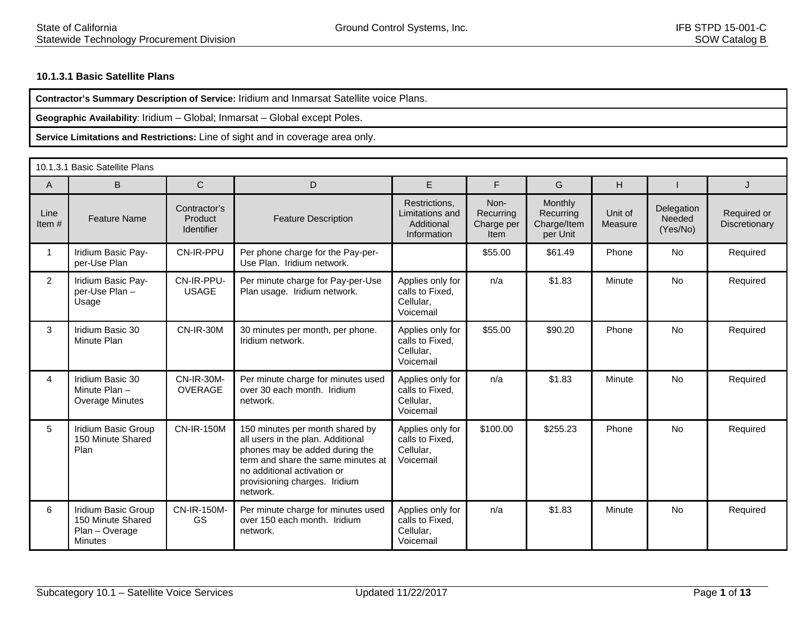## **10.1.3.1 Basic Satellite Plans**

**Contractor's Summary Description of Service:** Iridium and Inmarsat Satellite voice Plans.

**Geographic Availability**: Iridium – Global; Inmarsat – Global except Poles.

|                | 10.1.3.1 Basic Satellite Plans                                               |                                       |                                                                                                                                                                                                                          |                                                               |                                         |                                                 |                    |                                  |                              |  |  |
|----------------|------------------------------------------------------------------------------|---------------------------------------|--------------------------------------------------------------------------------------------------------------------------------------------------------------------------------------------------------------------------|---------------------------------------------------------------|-----------------------------------------|-------------------------------------------------|--------------------|----------------------------------|------------------------------|--|--|
| A              | B                                                                            | $\mathsf{C}$                          | D                                                                                                                                                                                                                        | E.                                                            | F                                       | G                                               | н                  |                                  | J                            |  |  |
| Line<br>Item#  | <b>Feature Name</b>                                                          | Contractor's<br>Product<br>Identifier | <b>Feature Description</b>                                                                                                                                                                                               | Restrictions,<br>Limitations and<br>Additional<br>Information | Non-<br>Recurring<br>Charge per<br>Item | Monthly<br>Recurring<br>Charge/Item<br>per Unit | Unit of<br>Measure | Delegation<br>Needed<br>(Yes/No) | Required or<br>Discretionary |  |  |
| $\mathbf{1}$   | Iridium Basic Pay-<br>per-Use Plan                                           | CN-IR-PPU                             | Per phone charge for the Pay-per-<br>Use Plan. Iridium network.                                                                                                                                                          |                                                               | \$55.00                                 | \$61.49                                         | Phone              | <b>No</b>                        | Required                     |  |  |
| $\overline{2}$ | Iridium Basic Pay-<br>per-Use Plan -<br>Usage                                | CN-IR-PPU-<br><b>USAGE</b>            | Per minute charge for Pay-per-Use<br>Plan usage. Iridium network.                                                                                                                                                        | Applies only for<br>calls to Fixed,<br>Cellular,<br>Voicemail | n/a                                     | \$1.83                                          | Minute             | <b>No</b>                        | Required                     |  |  |
| 3              | Iridium Basic 30<br>Minute Plan                                              | <b>CN-IR-30M</b>                      | 30 minutes per month, per phone.<br>Iridium network.                                                                                                                                                                     | Applies only for<br>calls to Fixed.<br>Cellular,<br>Voicemail | \$55.00                                 | \$90.20                                         | Phone              | <b>No</b>                        | Required                     |  |  |
| 4              | Iridium Basic 30<br>Minute Plan-<br>Overage Minutes                          | <b>CN-IR-30M-</b><br><b>OVERAGE</b>   | Per minute charge for minutes used<br>over 30 each month. Iridium<br>network.                                                                                                                                            | Applies only for<br>calls to Fixed.<br>Cellular.<br>Voicemail | n/a                                     | \$1.83                                          | Minute             | <b>No</b>                        | Required                     |  |  |
| 5              | Iridium Basic Group<br>150 Minute Shared<br>Plan                             | <b>CN-IR-150M</b>                     | 150 minutes per month shared by<br>all users in the plan. Additional<br>phones may be added during the<br>term and share the same minutes at<br>no additional activation or<br>provisioning charges. Iridium<br>network. | Applies only for<br>calls to Fixed,<br>Cellular,<br>Voicemail | \$100.00                                | \$255.23                                        | Phone              | <b>No</b>                        | Required                     |  |  |
| 6              | Iridium Basic Group<br>150 Minute Shared<br>Plan - Overage<br><b>Minutes</b> | CN-IR-150M-<br><b>GS</b>              | Per minute charge for minutes used<br>over 150 each month. Iridium<br>network.                                                                                                                                           | Applies only for<br>calls to Fixed.<br>Cellular,<br>Voicemail | n/a                                     | \$1.83                                          | Minute             | <b>No</b>                        | Required                     |  |  |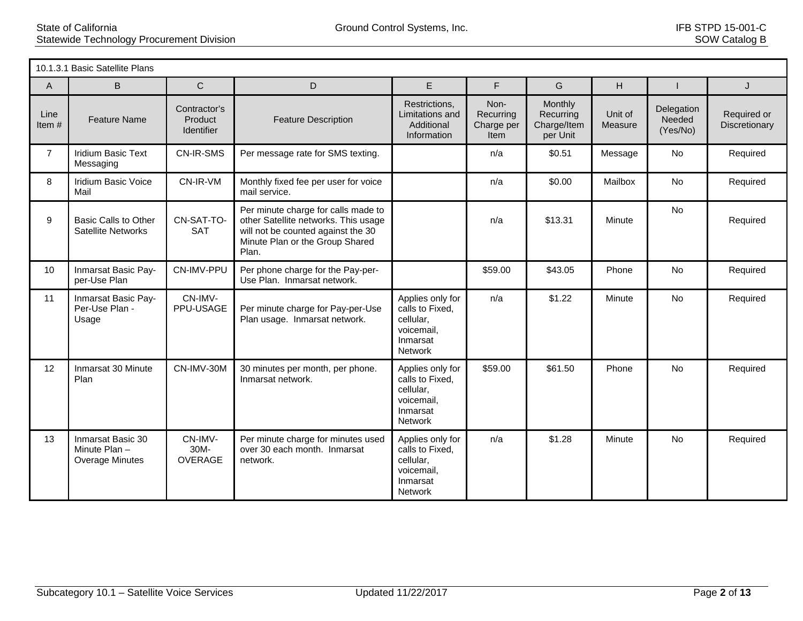|                | 10.1.3.1 Basic Satellite Plans                              |                                       |                                                                                                                                                               |                                                                                       |                                                |                                                        |                    |                                  |                              |  |  |
|----------------|-------------------------------------------------------------|---------------------------------------|---------------------------------------------------------------------------------------------------------------------------------------------------------------|---------------------------------------------------------------------------------------|------------------------------------------------|--------------------------------------------------------|--------------------|----------------------------------|------------------------------|--|--|
| A              | B                                                           | $\mathsf{C}$                          | D                                                                                                                                                             | E                                                                                     | F                                              | G                                                      | H                  |                                  | J                            |  |  |
| Line<br>Item#  | <b>Feature Name</b>                                         | Contractor's<br>Product<br>Identifier | <b>Feature Description</b>                                                                                                                                    | Restrictions,<br>Limitations and<br>Additional<br>Information                         | Non-<br>Recurring<br>Charge per<br><b>Item</b> | <b>Monthly</b><br>Recurring<br>Charge/Item<br>per Unit | Unit of<br>Measure | Delegation<br>Needed<br>(Yes/No) | Required or<br>Discretionary |  |  |
| $\overline{7}$ | Iridium Basic Text<br>Messaging                             | <b>CN-IR-SMS</b>                      | Per message rate for SMS texting.                                                                                                                             |                                                                                       | n/a                                            | \$0.51                                                 | Message            | No                               | Required                     |  |  |
| 8              | <b>Iridium Basic Voice</b><br>Mail                          | CN-IR-VM                              | Monthly fixed fee per user for voice<br>mail service.                                                                                                         |                                                                                       | n/a                                            | \$0.00                                                 | Mailbox            | <b>No</b>                        | Required                     |  |  |
| 9              | <b>Basic Calls to Other</b><br><b>Satellite Networks</b>    | CN-SAT-TO-<br><b>SAT</b>              | Per minute charge for calls made to<br>other Satellite networks. This usage<br>will not be counted against the 30<br>Minute Plan or the Group Shared<br>Plan. |                                                                                       | n/a                                            | \$13.31                                                | Minute             | <b>No</b>                        | Required                     |  |  |
| 10             | Inmarsat Basic Pay-<br>per-Use Plan                         | CN-IMV-PPU                            | Per phone charge for the Pay-per-<br>Use Plan. Inmarsat network.                                                                                              |                                                                                       | \$59.00                                        | \$43.05                                                | Phone              | No                               | Required                     |  |  |
| 11             | Inmarsat Basic Pay-<br>Per-Use Plan -<br>Usage              | CN-IMV-<br>PPU-USAGE                  | Per minute charge for Pay-per-Use<br>Plan usage. Inmarsat network.                                                                                            | Applies only for<br>calls to Fixed,<br>cellular,<br>voicemail,<br>Inmarsat<br>Network | n/a                                            | \$1.22                                                 | Minute             | No                               | Required                     |  |  |
| 12             | Inmarsat 30 Minute<br>Plan                                  | CN-IMV-30M                            | 30 minutes per month, per phone.<br>Inmarsat network.                                                                                                         | Applies only for<br>calls to Fixed,<br>cellular,<br>voicemail,<br>Inmarsat<br>Network | \$59.00                                        | \$61.50                                                | Phone              | <b>No</b>                        | Required                     |  |  |
| 13             | Inmarsat Basic 30<br>Minute Plan-<br><b>Overage Minutes</b> | CN-IMV-<br>30M-<br><b>OVERAGE</b>     | Per minute charge for minutes used<br>over 30 each month. Inmarsat<br>network.                                                                                | Applies only for<br>calls to Fixed,<br>cellular,<br>voicemail,<br>Inmarsat<br>Network | n/a                                            | \$1.28                                                 | Minute             | <b>No</b>                        | Required                     |  |  |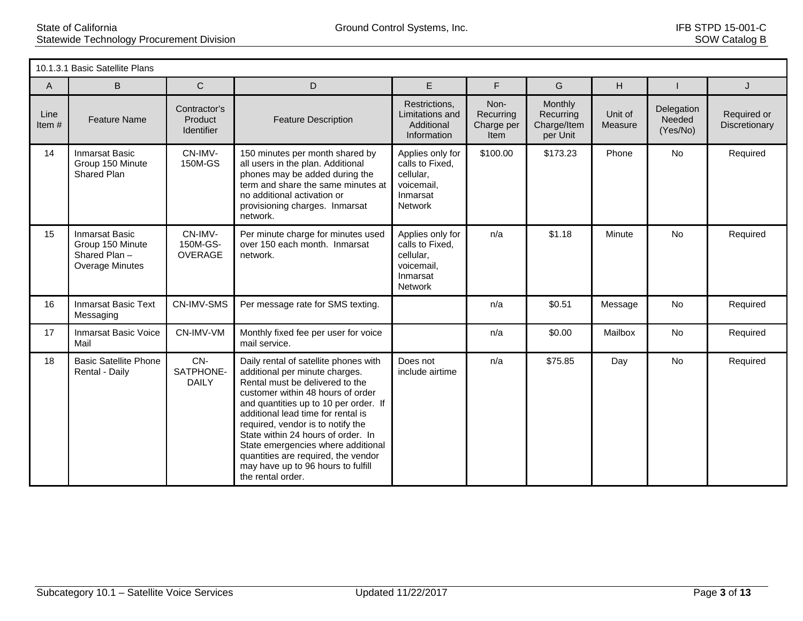|                  | 10.1.3.1 Basic Satellite Plans                                               |                                              |                                                                                                                                                                                                                                                                                                                                                                                                                                                   |                                                                                              |                                         |                                                 |                    |                                  |                              |  |  |
|------------------|------------------------------------------------------------------------------|----------------------------------------------|---------------------------------------------------------------------------------------------------------------------------------------------------------------------------------------------------------------------------------------------------------------------------------------------------------------------------------------------------------------------------------------------------------------------------------------------------|----------------------------------------------------------------------------------------------|-----------------------------------------|-------------------------------------------------|--------------------|----------------------------------|------------------------------|--|--|
| A                | B                                                                            | $\mathsf{C}$                                 | D                                                                                                                                                                                                                                                                                                                                                                                                                                                 | E                                                                                            | F                                       | G                                               | H                  |                                  | J                            |  |  |
| Line<br>Item $#$ | <b>Feature Name</b>                                                          | Contractor's<br>Product<br><b>Identifier</b> | <b>Feature Description</b>                                                                                                                                                                                                                                                                                                                                                                                                                        | Restrictions,<br>Limitations and<br>Additional<br>Information                                | Non-<br>Recurring<br>Charge per<br>Item | Monthly<br>Recurring<br>Charge/Item<br>per Unit | Unit of<br>Measure | Delegation<br>Needed<br>(Yes/No) | Required or<br>Discretionary |  |  |
| 14               | <b>Inmarsat Basic</b><br>Group 150 Minute<br>Shared Plan                     | CN-IMV-<br>150M-GS                           | 150 minutes per month shared by<br>all users in the plan. Additional<br>phones may be added during the<br>term and share the same minutes at<br>no additional activation or<br>provisioning charges. Inmarsat<br>network.                                                                                                                                                                                                                         | Applies only for<br>calls to Fixed,<br>cellular,<br>voicemail,<br>Inmarsat<br><b>Network</b> | \$100.00                                | \$173.23                                        | Phone              | <b>No</b>                        | Required                     |  |  |
| 15               | <b>Inmarsat Basic</b><br>Group 150 Minute<br>Shared Plan-<br>Overage Minutes | CN-IMV-<br>150M-GS-<br>OVERAGE               | Per minute charge for minutes used<br>over 150 each month. Inmarsat<br>network.                                                                                                                                                                                                                                                                                                                                                                   | Applies only for<br>calls to Fixed,<br>cellular,<br>voicemail,<br>Inmarsat<br>Network        | n/a                                     | \$1.18                                          | Minute             | <b>No</b>                        | Required                     |  |  |
| 16               | <b>Inmarsat Basic Text</b><br>Messaging                                      | <b>CN-IMV-SMS</b>                            | Per message rate for SMS texting.                                                                                                                                                                                                                                                                                                                                                                                                                 |                                                                                              | n/a                                     | \$0.51                                          | Message            | No                               | Required                     |  |  |
| 17               | <b>Inmarsat Basic Voice</b><br>Mail                                          | CN-IMV-VM                                    | Monthly fixed fee per user for voice<br>mail service.                                                                                                                                                                                                                                                                                                                                                                                             |                                                                                              | n/a                                     | \$0.00                                          | Mailbox            | <b>No</b>                        | Required                     |  |  |
| 18               | <b>Basic Satellite Phone</b><br>Rental - Daily                               | CN-<br>SATPHONE-<br><b>DAILY</b>             | Daily rental of satellite phones with<br>additional per minute charges.<br>Rental must be delivered to the<br>customer within 48 hours of order<br>and quantities up to 10 per order. If<br>additional lead time for rental is<br>required, vendor is to notify the<br>State within 24 hours of order. In<br>State emergencies where additional<br>quantities are required, the vendor<br>may have up to 96 hours to fulfill<br>the rental order. | Does not<br>include airtime                                                                  | n/a                                     | \$75.85                                         | Day                | No                               | Required                     |  |  |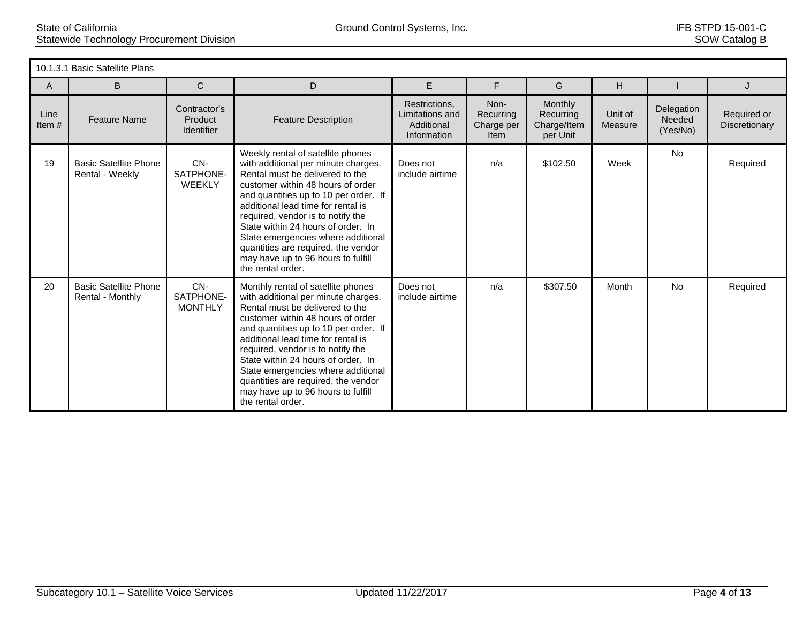|               | 10.1.3.1 Basic Satellite Plans                   |                                              |                                                                                                                                                                                                                                                                                                                                                                                                                                                     |                                                               |                                         |                                                 |                    |                                  |                              |  |  |
|---------------|--------------------------------------------------|----------------------------------------------|-----------------------------------------------------------------------------------------------------------------------------------------------------------------------------------------------------------------------------------------------------------------------------------------------------------------------------------------------------------------------------------------------------------------------------------------------------|---------------------------------------------------------------|-----------------------------------------|-------------------------------------------------|--------------------|----------------------------------|------------------------------|--|--|
| A             | B                                                | $\mathsf{C}$                                 | D                                                                                                                                                                                                                                                                                                                                                                                                                                                   | E                                                             | F                                       | G                                               | H                  |                                  | J                            |  |  |
| Line<br>Item# | <b>Feature Name</b>                              | Contractor's<br>Product<br><b>Identifier</b> | <b>Feature Description</b>                                                                                                                                                                                                                                                                                                                                                                                                                          | Restrictions,<br>Limitations and<br>Additional<br>Information | Non-<br>Recurring<br>Charge per<br>Item | Monthly<br>Recurring<br>Charge/Item<br>per Unit | Unit of<br>Measure | Delegation<br>Needed<br>(Yes/No) | Required or<br>Discretionary |  |  |
| 19            | <b>Basic Satellite Phone</b><br>Rental - Weekly  | CN-<br>SATPHONE-<br>WEEKLY                   | Weekly rental of satellite phones<br>with additional per minute charges.<br>Rental must be delivered to the<br>customer within 48 hours of order<br>and quantities up to 10 per order. If<br>additional lead time for rental is<br>required, vendor is to notify the<br>State within 24 hours of order. In<br>State emergencies where additional<br>quantities are required, the vendor<br>may have up to 96 hours to fulfill<br>the rental order.  | Does not<br>include airtime                                   | n/a                                     | \$102.50                                        | Week               | <b>No</b>                        | Required                     |  |  |
| 20            | <b>Basic Satellite Phone</b><br>Rental - Monthly | CN-<br>SATPHONE-<br><b>MONTHLY</b>           | Monthly rental of satellite phones<br>with additional per minute charges.<br>Rental must be delivered to the<br>customer within 48 hours of order<br>and quantities up to 10 per order. If<br>additional lead time for rental is<br>required, vendor is to notify the<br>State within 24 hours of order. In<br>State emergencies where additional<br>quantities are required, the vendor<br>may have up to 96 hours to fulfill<br>the rental order. | Does not<br>include airtime                                   | n/a                                     | \$307.50                                        | Month              | <b>No</b>                        | Required                     |  |  |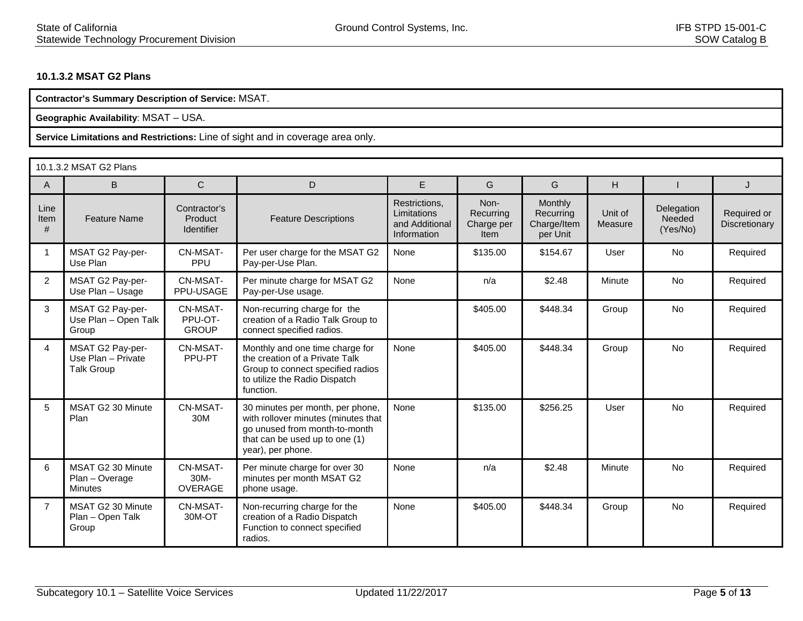## **10.1.3.2 MSAT G2 Plans**

**Contractor's Summary Description of Service:** MSAT.

**Geographic Availability**: MSAT – USA.

|                   | 10.1.3.2 MSAT G2 Plans                                      |                                              |                                                                                                                                                                 |                                                               |                                         |                                                        |                    |                                  |                              |  |
|-------------------|-------------------------------------------------------------|----------------------------------------------|-----------------------------------------------------------------------------------------------------------------------------------------------------------------|---------------------------------------------------------------|-----------------------------------------|--------------------------------------------------------|--------------------|----------------------------------|------------------------------|--|
| A                 | B                                                           | $\mathsf{C}$                                 | D                                                                                                                                                               | E.                                                            | G                                       | G                                                      | H                  |                                  | J                            |  |
| Line<br>Item<br># | <b>Feature Name</b>                                         | Contractor's<br>Product<br><b>Identifier</b> | <b>Feature Descriptions</b>                                                                                                                                     | Restrictions,<br>Limitations<br>and Additional<br>Information | Non-<br>Recurring<br>Charge per<br>Item | <b>Monthly</b><br>Recurring<br>Charge/Item<br>per Unit | Unit of<br>Measure | Delegation<br>Needed<br>(Yes/No) | Required or<br>Discretionary |  |
|                   | MSAT G2 Pay-per-<br>Use Plan                                | CN-MSAT-<br><b>PPU</b>                       | Per user charge for the MSAT G2<br>Pay-per-Use Plan.                                                                                                            | None                                                          | \$135.00                                | \$154.67                                               | User               | No                               | Required                     |  |
| 2                 | MSAT G2 Pay-per-<br>Use Plan - Usage                        | CN-MSAT-<br>PPU-USAGE                        | Per minute charge for MSAT G2<br>Pay-per-Use usage.                                                                                                             | None                                                          | n/a                                     | \$2.48                                                 | Minute             | <b>No</b>                        | Required                     |  |
| 3                 | MSAT G2 Pay-per-<br>Use Plan - Open Talk<br>Group           | CN-MSAT-<br>PPU-OT-<br><b>GROUP</b>          | Non-recurring charge for the<br>creation of a Radio Talk Group to<br>connect specified radios.                                                                  |                                                               | \$405.00                                | \$448.34                                               | Group              | <b>No</b>                        | Required                     |  |
| 4                 | MSAT G2 Pay-per-<br>Use Plan - Private<br><b>Talk Group</b> | CN-MSAT-<br>PPU-PT                           | Monthly and one time charge for<br>the creation of a Private Talk<br>Group to connect specified radios<br>to utilize the Radio Dispatch<br>function.            | None                                                          | \$405.00                                | \$448.34                                               | Group              | <b>No</b>                        | Required                     |  |
| 5                 | MSAT G2 30 Minute<br>Plan                                   | CN-MSAT-<br>30M                              | 30 minutes per month, per phone,<br>with rollover minutes (minutes that<br>go unused from month-to-month<br>that can be used up to one (1)<br>year), per phone. | None                                                          | \$135.00                                | \$256.25                                               | User               | <b>No</b>                        | Required                     |  |
| 6                 | MSAT G2 30 Minute<br>Plan - Overage<br>Minutes              | CN-MSAT-<br>$30M -$<br><b>OVERAGE</b>        | Per minute charge for over 30<br>minutes per month MSAT G2<br>phone usage.                                                                                      | None                                                          | n/a                                     | \$2.48                                                 | Minute             | <b>No</b>                        | Required                     |  |
| $\overline{7}$    | MSAT G2 30 Minute<br>Plan - Open Talk<br>Group              | CN-MSAT-<br>30M-OT                           | Non-recurring charge for the<br>creation of a Radio Dispatch<br>Function to connect specified<br>radios.                                                        | None                                                          | \$405.00                                | \$448.34                                               | Group              | <b>No</b>                        | Required                     |  |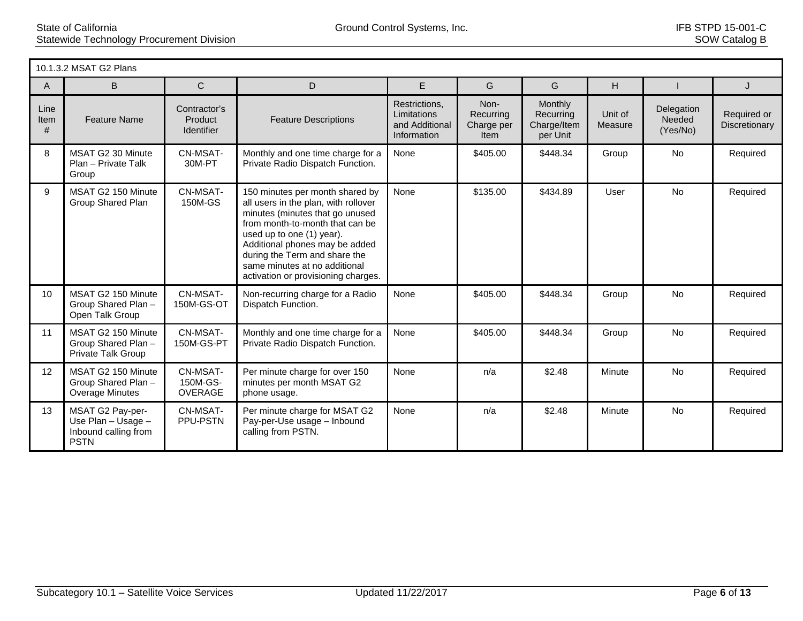|                   | 10.1.3.2 MSAT G2 Plans                                                        |                                        |                                                                                                                                                                                                                                                                                                                       |                                                               |                                                |                                                        |                    |                                  |                              |  |
|-------------------|-------------------------------------------------------------------------------|----------------------------------------|-----------------------------------------------------------------------------------------------------------------------------------------------------------------------------------------------------------------------------------------------------------------------------------------------------------------------|---------------------------------------------------------------|------------------------------------------------|--------------------------------------------------------|--------------------|----------------------------------|------------------------------|--|
| $\mathsf{A}$      | B                                                                             | $\mathsf{C}$                           | D                                                                                                                                                                                                                                                                                                                     | E                                                             | G                                              | G                                                      | H                  |                                  | J                            |  |
| Line<br>Item<br># | <b>Feature Name</b>                                                           | Contractor's<br>Product<br>Identifier  | <b>Feature Descriptions</b>                                                                                                                                                                                                                                                                                           | Restrictions,<br>Limitations<br>and Additional<br>Information | Non-<br>Recurring<br>Charge per<br><b>Item</b> | <b>Monthly</b><br>Recurring<br>Charge/Item<br>per Unit | Unit of<br>Measure | Delegation<br>Needed<br>(Yes/No) | Required or<br>Discretionary |  |
| 8                 | MSAT G2 30 Minute<br>Plan - Private Talk<br>Group                             | CN-MSAT-<br>30M-PT                     | Monthly and one time charge for a<br>Private Radio Dispatch Function.                                                                                                                                                                                                                                                 | None                                                          | \$405.00                                       | \$448.34                                               | Group              | <b>No</b>                        | Required                     |  |
| 9                 | MSAT G2 150 Minute<br>Group Shared Plan                                       | CN-MSAT-<br>150M-GS                    | 150 minutes per month shared by<br>all users in the plan, with rollover<br>minutes (minutes that go unused<br>from month-to-month that can be<br>used up to one (1) year).<br>Additional phones may be added<br>during the Term and share the<br>same minutes at no additional<br>activation or provisioning charges. | None                                                          | \$135.00                                       | \$434.89                                               | User               | <b>No</b>                        | Required                     |  |
| 10 <sup>°</sup>   | MSAT G2 150 Minute<br>Group Shared Plan -<br>Open Talk Group                  | CN-MSAT-<br>150M-GS-OT                 | Non-recurring charge for a Radio<br>Dispatch Function.                                                                                                                                                                                                                                                                | None                                                          | \$405.00                                       | \$448.34                                               | Group              | <b>No</b>                        | Required                     |  |
| 11                | MSAT G2 150 Minute<br>Group Shared Plan -<br>Private Talk Group               | CN-MSAT-<br>150M-GS-PT                 | Monthly and one time charge for a<br>Private Radio Dispatch Function.                                                                                                                                                                                                                                                 | None                                                          | \$405.00                                       | \$448.34                                               | Group              | <b>No</b>                        | Required                     |  |
| 12 <sup>2</sup>   | MSAT G2 150 Minute<br>Group Shared Plan -<br>Overage Minutes                  | CN-MSAT-<br>150M-GS-<br><b>OVERAGE</b> | Per minute charge for over 150<br>minutes per month MSAT G2<br>phone usage.                                                                                                                                                                                                                                           | None                                                          | n/a                                            | \$2.48                                                 | Minute             | <b>No</b>                        | Required                     |  |
| 13                | MSAT G2 Pay-per-<br>Use Plan - Usage -<br>Inbound calling from<br><b>PSTN</b> | CN-MSAT-<br>PPU-PSTN                   | Per minute charge for MSAT G2<br>Pay-per-Use usage - Inbound<br>calling from PSTN.                                                                                                                                                                                                                                    | None                                                          | n/a                                            | \$2.48                                                 | Minute             | <b>No</b>                        | Required                     |  |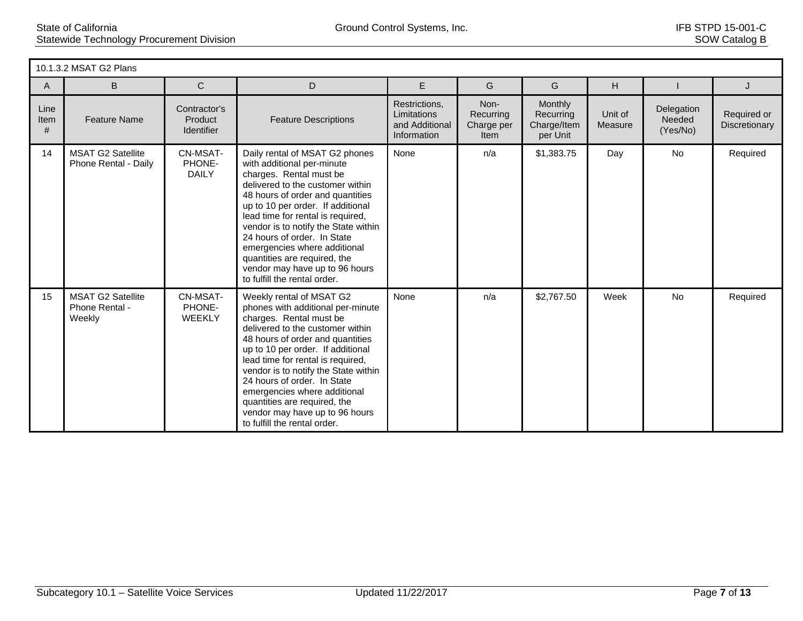|                   | 10.1.3.2 MSAT G2 Plans                               |                                              |                                                                                                                                                                                                                                                                                                                                                                                                                                                     |                                                               |                                         |                                                        |                    |                                  |                              |  |  |
|-------------------|------------------------------------------------------|----------------------------------------------|-----------------------------------------------------------------------------------------------------------------------------------------------------------------------------------------------------------------------------------------------------------------------------------------------------------------------------------------------------------------------------------------------------------------------------------------------------|---------------------------------------------------------------|-----------------------------------------|--------------------------------------------------------|--------------------|----------------------------------|------------------------------|--|--|
| A                 | B                                                    | $\mathsf{C}$                                 | D                                                                                                                                                                                                                                                                                                                                                                                                                                                   | E                                                             | G                                       | G                                                      | H                  |                                  | J                            |  |  |
| Line<br>Item<br># | <b>Feature Name</b>                                  | Contractor's<br>Product<br><b>Identifier</b> | <b>Feature Descriptions</b>                                                                                                                                                                                                                                                                                                                                                                                                                         | Restrictions,<br>Limitations<br>and Additional<br>Information | Non-<br>Recurring<br>Charge per<br>Item | <b>Monthly</b><br>Recurring<br>Charge/Item<br>per Unit | Unit of<br>Measure | Delegation<br>Needed<br>(Yes/No) | Required or<br>Discretionary |  |  |
| 14                | <b>MSAT G2 Satellite</b><br>Phone Rental - Daily     | CN-MSAT-<br>PHONE-<br><b>DAILY</b>           | Daily rental of MSAT G2 phones<br>with additional per-minute<br>charges. Rental must be<br>delivered to the customer within<br>48 hours of order and quantities<br>up to 10 per order. If additional<br>lead time for rental is required,<br>vendor is to notify the State within<br>24 hours of order. In State<br>emergencies where additional<br>quantities are required, the<br>vendor may have up to 96 hours<br>to fulfill the rental order.  | None                                                          | n/a                                     | \$1,383.75                                             | Day                | <b>No</b>                        | Required                     |  |  |
| 15                | <b>MSAT G2 Satellite</b><br>Phone Rental -<br>Weekly | CN-MSAT-<br>PHONE-<br><b>WEEKLY</b>          | Weekly rental of MSAT G2<br>phones with additional per-minute<br>charges. Rental must be<br>delivered to the customer within<br>48 hours of order and quantities<br>up to 10 per order. If additional<br>lead time for rental is required,<br>vendor is to notify the State within<br>24 hours of order. In State<br>emergencies where additional<br>quantities are required, the<br>vendor may have up to 96 hours<br>to fulfill the rental order. | None                                                          | n/a                                     | \$2,767.50                                             | Week               | <b>No</b>                        | Required                     |  |  |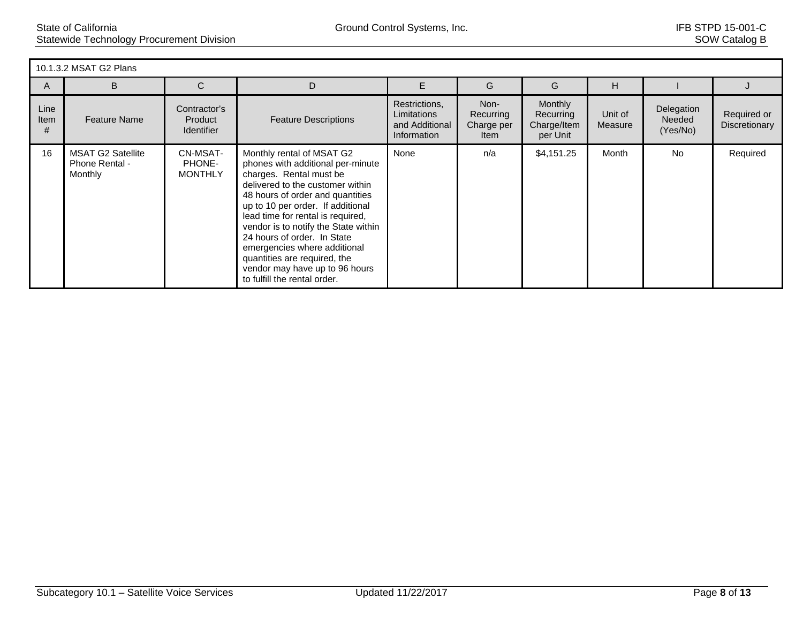|                   | 10.1.3.2 MSAT G2 Plans                                |                                              |                                                                                                                                                                                                                                                                                                                                                                                                                                                      |                                                               |                                         |                                                        |                    |                                  |                              |  |
|-------------------|-------------------------------------------------------|----------------------------------------------|------------------------------------------------------------------------------------------------------------------------------------------------------------------------------------------------------------------------------------------------------------------------------------------------------------------------------------------------------------------------------------------------------------------------------------------------------|---------------------------------------------------------------|-----------------------------------------|--------------------------------------------------------|--------------------|----------------------------------|------------------------------|--|
| A                 | B                                                     | C                                            | D                                                                                                                                                                                                                                                                                                                                                                                                                                                    | E                                                             | G                                       | G                                                      | H                  |                                  |                              |  |
| Line<br>Item<br># | <b>Feature Name</b>                                   | Contractor's<br>Product<br><b>Identifier</b> | <b>Feature Descriptions</b>                                                                                                                                                                                                                                                                                                                                                                                                                          | Restrictions,<br>Limitations<br>and Additional<br>Information | Non-<br>Recurring<br>Charge per<br>Item | <b>Monthly</b><br>Recurring<br>Charge/Item<br>per Unit | Unit of<br>Measure | Delegation<br>Needed<br>(Yes/No) | Required or<br>Discretionary |  |
| 16                | <b>MSAT G2 Satellite</b><br>Phone Rental -<br>Monthly | CN-MSAT-<br>PHONE-<br><b>MONTHLY</b>         | Monthly rental of MSAT G2<br>phones with additional per-minute<br>charges. Rental must be<br>delivered to the customer within<br>48 hours of order and quantities<br>up to 10 per order. If additional<br>lead time for rental is required,<br>vendor is to notify the State within<br>24 hours of order. In State<br>emergencies where additional<br>quantities are required, the<br>vendor may have up to 96 hours<br>to fulfill the rental order. | None                                                          | n/a                                     | \$4,151.25                                             | Month              | No.                              | Required                     |  |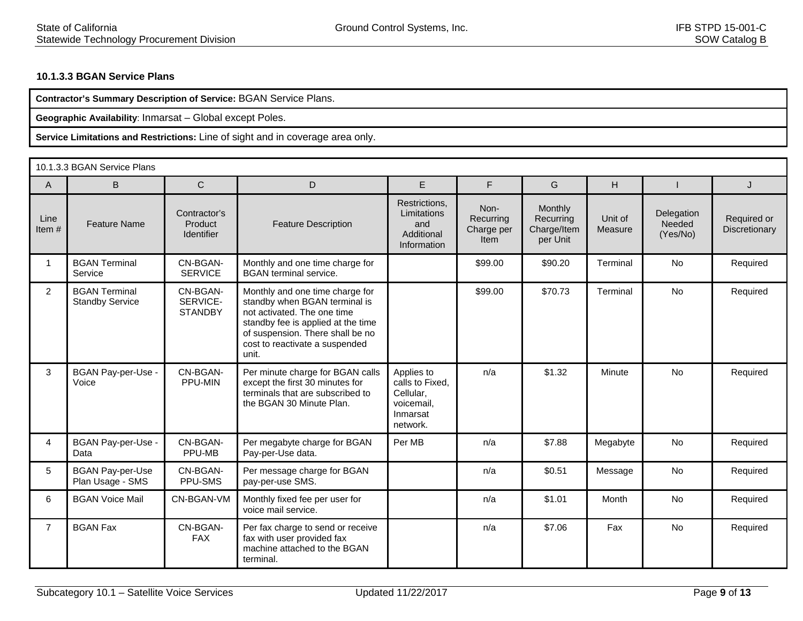## **10.1.3.3 BGAN Service Plans**

| Contractor's Summary Description of Service: BGAN Service Plans. |
|------------------------------------------------------------------|
|------------------------------------------------------------------|

**Geographic Availability**: Inmarsat – Global except Poles.

|                | 10.1.3.3 BGAN Service Plans                    |                                              |                                                                                                                                                                                                                      |                                                                                  |                                                |                                                 |                    |                                  |                              |  |
|----------------|------------------------------------------------|----------------------------------------------|----------------------------------------------------------------------------------------------------------------------------------------------------------------------------------------------------------------------|----------------------------------------------------------------------------------|------------------------------------------------|-------------------------------------------------|--------------------|----------------------------------|------------------------------|--|
| $\mathsf{A}$   | B                                              | $\mathsf{C}$                                 | D                                                                                                                                                                                                                    | E                                                                                | F.                                             | G                                               | H                  |                                  | J.                           |  |
| Line<br>Item#  | <b>Feature Name</b>                            | Contractor's<br>Product<br><b>Identifier</b> | <b>Feature Description</b>                                                                                                                                                                                           | Restrictions,<br>Limitations<br>and<br>Additional<br>Information                 | Non-<br>Recurring<br>Charge per<br><b>Item</b> | Monthly<br>Recurring<br>Charge/Item<br>per Unit | Unit of<br>Measure | Delegation<br>Needed<br>(Yes/No) | Required or<br>Discretionary |  |
|                | <b>BGAN Terminal</b><br>Service                | CN-BGAN-<br><b>SERVICE</b>                   | Monthly and one time charge for<br><b>BGAN</b> terminal service.                                                                                                                                                     |                                                                                  | \$99.00                                        | \$90.20                                         | Terminal           | No                               | Required                     |  |
| $\overline{2}$ | <b>BGAN Terminal</b><br><b>Standby Service</b> | CN-BGAN-<br>SERVICE-<br><b>STANDBY</b>       | Monthly and one time charge for<br>standby when BGAN terminal is<br>not activated. The one time<br>standby fee is applied at the time<br>of suspension. There shall be no<br>cost to reactivate a suspended<br>unit. |                                                                                  | \$99.00                                        | \$70.73                                         | Terminal           | <b>No</b>                        | Required                     |  |
| 3              | BGAN Pay-per-Use -<br>Voice                    | CN-BGAN-<br>PPU-MIN                          | Per minute charge for BGAN calls<br>except the first 30 minutes for<br>terminals that are subscribed to<br>the BGAN 30 Minute Plan.                                                                                  | Applies to<br>calls to Fixed,<br>Cellular,<br>voicemail,<br>Inmarsat<br>network. | n/a                                            | \$1.32                                          | Minute             | No                               | Required                     |  |
| 4              | BGAN Pay-per-Use -<br>Data                     | CN-BGAN-<br>PPU-MB                           | Per megabyte charge for BGAN<br>Pay-per-Use data.                                                                                                                                                                    | Per MB                                                                           | n/a                                            | \$7.88                                          | Megabyte           | No                               | Required                     |  |
| 5              | <b>BGAN Pay-per-Use</b><br>Plan Usage - SMS    | CN-BGAN-<br>PPU-SMS                          | Per message charge for BGAN<br>pay-per-use SMS.                                                                                                                                                                      |                                                                                  | n/a                                            | \$0.51                                          | Message            | No                               | Required                     |  |
| 6              | <b>BGAN Voice Mail</b>                         | CN-BGAN-VM                                   | Monthly fixed fee per user for<br>voice mail service.                                                                                                                                                                |                                                                                  | n/a                                            | \$1.01                                          | Month              | <b>No</b>                        | Required                     |  |
| $\overline{7}$ | <b>BGAN Fax</b>                                | CN-BGAN-<br><b>FAX</b>                       | Per fax charge to send or receive<br>fax with user provided fax<br>machine attached to the BGAN<br>terminal.                                                                                                         |                                                                                  | n/a                                            | \$7.06                                          | Fax                | <b>No</b>                        | Required                     |  |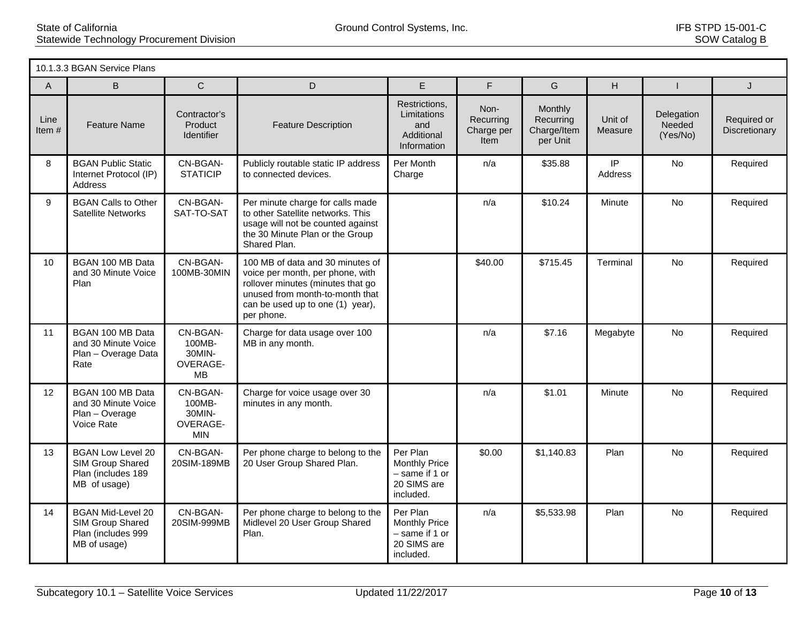|                  | 10.1.3.3 BGAN Service Plans                                                        |                                                        |                                                                                                                                                                                                |                                                                                |                                         |                                                 |                     |                                  |                              |  |
|------------------|------------------------------------------------------------------------------------|--------------------------------------------------------|------------------------------------------------------------------------------------------------------------------------------------------------------------------------------------------------|--------------------------------------------------------------------------------|-----------------------------------------|-------------------------------------------------|---------------------|----------------------------------|------------------------------|--|
| A                | B                                                                                  | $\mathsf{C}$                                           | D                                                                                                                                                                                              | E                                                                              | F                                       | G                                               | H                   | $\mathbf{I}$                     | J                            |  |
| Line<br>Item $#$ | <b>Feature Name</b>                                                                | Contractor's<br>Product<br><b>Identifier</b>           | <b>Feature Description</b>                                                                                                                                                                     | Restrictions,<br>Limitations<br>and<br>Additional<br>Information               | Non-<br>Recurring<br>Charge per<br>Item | Monthly<br>Recurring<br>Charge/Item<br>per Unit | Unit of<br>Measure  | Delegation<br>Needed<br>(Yes/No) | Required or<br>Discretionary |  |
| 8                | <b>BGAN Public Static</b><br>Internet Protocol (IP)<br><b>Address</b>              | CN-BGAN-<br><b>STATICIP</b>                            | Publicly routable static IP address<br>to connected devices.                                                                                                                                   | Per Month<br>Charge                                                            | n/a                                     | \$35.88                                         | $\sf IP$<br>Address | No                               | Required                     |  |
| 9                | <b>BGAN Calls to Other</b><br><b>Satellite Networks</b>                            | CN-BGAN-<br>SAT-TO-SAT                                 | Per minute charge for calls made<br>to other Satellite networks. This<br>usage will not be counted against<br>the 30 Minute Plan or the Group<br>Shared Plan.                                  |                                                                                | n/a                                     | \$10.24                                         | Minute              | No                               | Required                     |  |
| 10 <sup>°</sup>  | BGAN 100 MB Data<br>and 30 Minute Voice<br>Plan                                    | CN-BGAN-<br>100MB-30MIN                                | 100 MB of data and 30 minutes of<br>voice per month, per phone, with<br>rollover minutes (minutes that go<br>unused from month-to-month that<br>can be used up to one (1) year),<br>per phone. |                                                                                | \$40.00                                 | \$715.45                                        | Terminal            | <b>No</b>                        | Required                     |  |
| 11               | BGAN 100 MB Data<br>and 30 Minute Voice<br>Plan - Overage Data<br>Rate             | CN-BGAN-<br>100MB-<br>30MIN-<br><b>OVERAGE-</b><br>MB  | Charge for data usage over 100<br>MB in any month.                                                                                                                                             |                                                                                | n/a                                     | \$7.16                                          | Megabyte            | <b>No</b>                        | Required                     |  |
| 12 <sup>2</sup>  | BGAN 100 MB Data<br>and 30 Minute Voice<br>Plan - Overage<br>Voice Rate            | CN-BGAN-<br>100MB-<br>30MIN-<br>OVERAGE-<br><b>MIN</b> | Charge for voice usage over 30<br>minutes in any month.                                                                                                                                        |                                                                                | n/a                                     | \$1.01                                          | Minute              | <b>No</b>                        | Required                     |  |
| 13               | <b>BGAN Low Level 20</b><br>SIM Group Shared<br>Plan (includes 189<br>MB of usage) | CN-BGAN-<br>20SIM-189MB                                | Per phone charge to belong to the<br>20 User Group Shared Plan.                                                                                                                                | Per Plan<br><b>Monthly Price</b><br>- same if 1 or<br>20 SIMS are<br>included. | \$0.00                                  | \$1,140.83                                      | Plan                | <b>No</b>                        | Required                     |  |
| 14               | <b>BGAN Mid-Level 20</b><br>SIM Group Shared<br>Plan (includes 999<br>MB of usage) | CN-BGAN-<br>20SIM-999MB                                | Per phone charge to belong to the<br>Midlevel 20 User Group Shared<br>Plan.                                                                                                                    | Per Plan<br><b>Monthly Price</b><br>- same if 1 or<br>20 SIMS are<br>included. | n/a                                     | \$5,533.98                                      | Plan                | <b>No</b>                        | Required                     |  |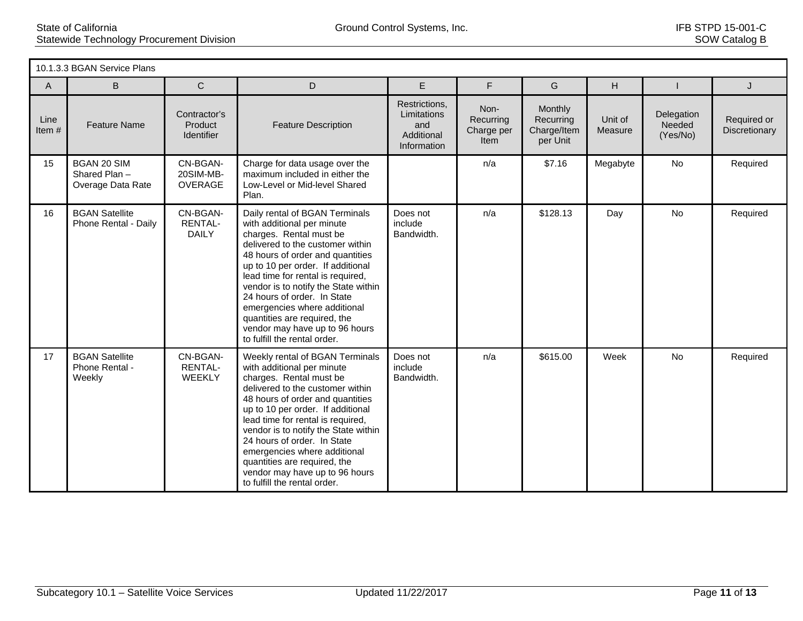|               | 10.1.3.3 BGAN Service Plans                             |                                         |                                                                                                                                                                                                                                                                                                                                                                                                                                                     |                                                                  |                                         |                                                 |                    |                                  |                              |  |  |
|---------------|---------------------------------------------------------|-----------------------------------------|-----------------------------------------------------------------------------------------------------------------------------------------------------------------------------------------------------------------------------------------------------------------------------------------------------------------------------------------------------------------------------------------------------------------------------------------------------|------------------------------------------------------------------|-----------------------------------------|-------------------------------------------------|--------------------|----------------------------------|------------------------------|--|--|
| A             | B                                                       | $\mathsf{C}$                            | D                                                                                                                                                                                                                                                                                                                                                                                                                                                   | E                                                                | F.                                      | G                                               | H                  |                                  | J                            |  |  |
| Line<br>Item# | <b>Feature Name</b>                                     | Contractor's<br>Product<br>Identifier   | <b>Feature Description</b>                                                                                                                                                                                                                                                                                                                                                                                                                          | Restrictions,<br>Limitations<br>and<br>Additional<br>Information | Non-<br>Recurring<br>Charge per<br>Item | Monthly<br>Recurring<br>Charge/Item<br>per Unit | Unit of<br>Measure | Delegation<br>Needed<br>(Yes/No) | Required or<br>Discretionary |  |  |
| 15            | <b>BGAN 20 SIM</b><br>Shared Plan-<br>Overage Data Rate | CN-BGAN-<br>20SIM-MB-<br><b>OVERAGE</b> | Charge for data usage over the<br>maximum included in either the<br>Low-Level or Mid-level Shared<br>Plan.                                                                                                                                                                                                                                                                                                                                          |                                                                  | n/a                                     | \$7.16                                          | Megabyte           | No                               | Required                     |  |  |
| 16            | <b>BGAN Satellite</b><br>Phone Rental - Daily           | CN-BGAN-<br>RENTAL-<br><b>DAILY</b>     | Daily rental of BGAN Terminals<br>with additional per minute<br>charges. Rental must be<br>delivered to the customer within<br>48 hours of order and quantities<br>up to 10 per order. If additional<br>lead time for rental is required,<br>vendor is to notify the State within<br>24 hours of order. In State<br>emergencies where additional<br>quantities are required, the<br>vendor may have up to 96 hours<br>to fulfill the rental order.  | Does not<br>include<br>Bandwidth.                                | n/a                                     | \$128.13                                        | Day                | No                               | Required                     |  |  |
| 17            | <b>BGAN Satellite</b><br>Phone Rental -<br>Weekly       | CN-BGAN-<br><b>RENTAL-</b><br>WEEKLY    | Weekly rental of BGAN Terminals<br>with additional per minute<br>charges. Rental must be<br>delivered to the customer within<br>48 hours of order and quantities<br>up to 10 per order. If additional<br>lead time for rental is required,<br>vendor is to notify the State within<br>24 hours of order. In State<br>emergencies where additional<br>quantities are required, the<br>vendor may have up to 96 hours<br>to fulfill the rental order. | Does not<br>include<br>Bandwidth.                                | n/a                                     | \$615.00                                        | Week               | <b>No</b>                        | Required                     |  |  |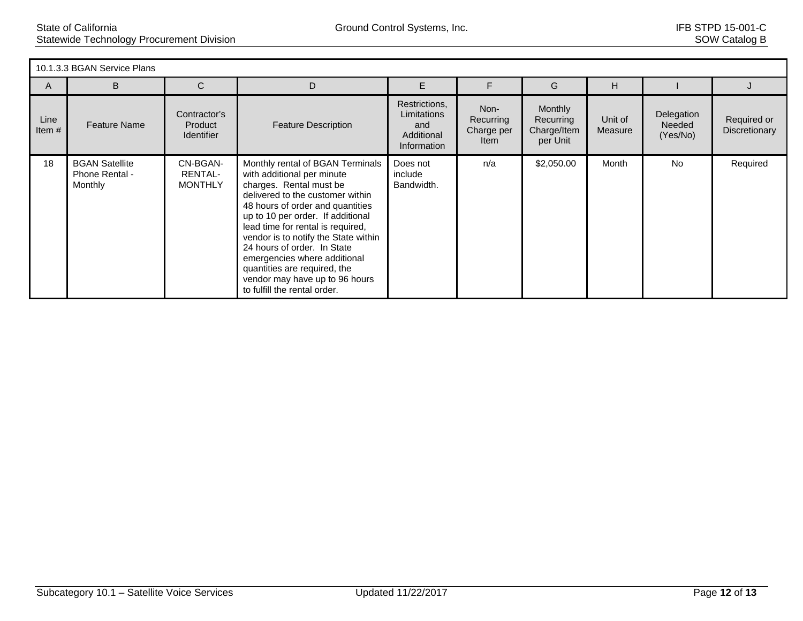| 10.1.3.3 BGAN Service Plans |                                                    |                                              |                                                                                                                                                                                                                                                                                                                                                                                                                                                      |                                                                  |                                         |                                                        |                    |                                  |                              |  |
|-----------------------------|----------------------------------------------------|----------------------------------------------|------------------------------------------------------------------------------------------------------------------------------------------------------------------------------------------------------------------------------------------------------------------------------------------------------------------------------------------------------------------------------------------------------------------------------------------------------|------------------------------------------------------------------|-----------------------------------------|--------------------------------------------------------|--------------------|----------------------------------|------------------------------|--|
| A                           | B                                                  | С                                            | D                                                                                                                                                                                                                                                                                                                                                                                                                                                    | Е                                                                |                                         | G                                                      | H                  |                                  |                              |  |
| Line<br>Item $#$            | <b>Feature Name</b>                                | Contractor's<br>Product<br><b>Identifier</b> | <b>Feature Description</b>                                                                                                                                                                                                                                                                                                                                                                                                                           | Restrictions,<br>Limitations<br>and<br>Additional<br>Information | Non-<br>Recurring<br>Charge per<br>Item | <b>Monthly</b><br>Recurring<br>Charge/Item<br>per Unit | Unit of<br>Measure | Delegation<br>Needed<br>(Yes/No) | Required or<br>Discretionary |  |
| 18                          | <b>BGAN Satellite</b><br>Phone Rental -<br>Monthly | CN-BGAN-<br>RENTAL-<br><b>MONTHLY</b>        | Monthly rental of BGAN Terminals<br>with additional per minute<br>charges. Rental must be<br>delivered to the customer within<br>48 hours of order and quantities<br>up to 10 per order. If additional<br>lead time for rental is required,<br>vendor is to notify the State within<br>24 hours of order. In State<br>emergencies where additional<br>quantities are required, the<br>vendor may have up to 96 hours<br>to fulfill the rental order. | Does not<br>include<br>Bandwidth.                                | n/a                                     | \$2,050.00                                             | Month              | <b>No</b>                        | Required                     |  |